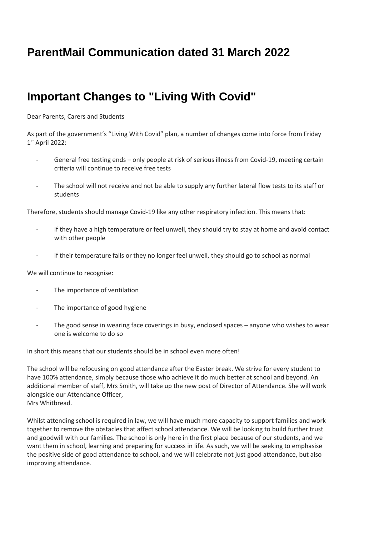## **ParentMail Communication dated 31 March 2022**

## **Important Changes to "Living With Covid"**

Dear Parents, Carers and Students

As part of the government's "Living With Covid" plan, a number of changes come into force from Friday 1 st April 2022:

- General free testing ends only people at risk of serious illness from Covid-19, meeting certain criteria will continue to receive free tests
- The school will not receive and not be able to supply any further lateral flow tests to its staff or students

Therefore, students should manage Covid-19 like any other respiratory infection. This means that:

- If they have a high temperature or feel unwell, they should try to stay at home and avoid contact with other people
- If their temperature falls or they no longer feel unwell, they should go to school as normal

We will continue to recognise:

- The importance of ventilation
- The importance of good hygiene
- The good sense in wearing face coverings in busy, enclosed spaces anyone who wishes to wear one is welcome to do so

In short this means that our students should be in school even more often!

The school will be refocusing on good attendance after the Easter break. We strive for every student to have 100% attendance, simply because those who achieve it do much better at school and beyond. An additional member of staff, Mrs Smith, will take up the new post of Director of Attendance. She will work alongside our Attendance Officer, Mrs Whitbread.

Whilst attending school is required in law, we will have much more capacity to support families and work together to remove the obstacles that affect school attendance. We will be looking to build further trust and goodwill with our families. The school is only here in the first place because of our students, and we want them in school, learning and preparing for success in life. As such, we will be seeking to emphasise the positive side of good attendance to school, and we will celebrate not just good attendance, but also improving attendance.